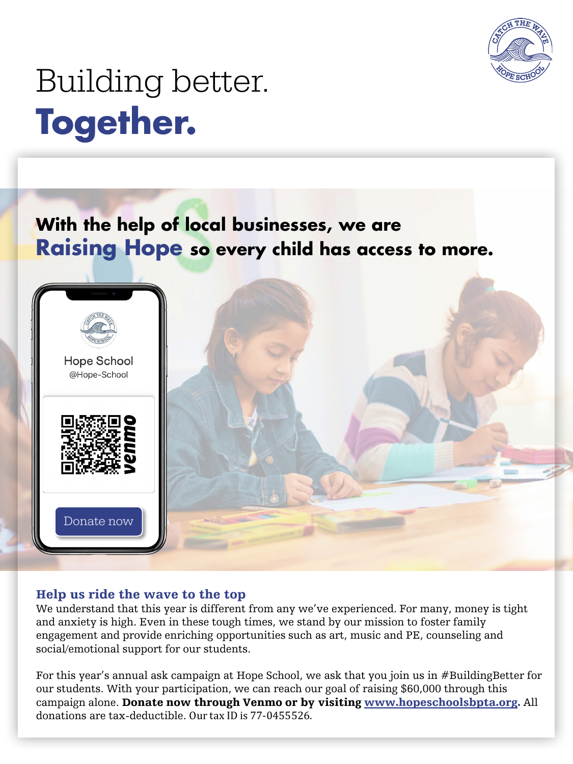

# Building better. **Together.**

# **With the help of local businesses, we are Raising Hope so every child has access to more.**



# Help us ride the wave to the top

We understand that this year is different from any we've experienced. For many, money is tight and anxiety is high. Even in these tough times, we stand by our mission to foster family engagement and provide enriching opportunities such as art, music and PE, counseling and social/emotional support for our students.

For this year's annual ask campaign at Hope School, we ask that you join us in #BuildingBetter for our students. With your participation, we can reach our goal of raising \$60,000 through this campaign alone. Donate now through Venmo or by visiting [www.hopeschoolsbpta.org.](http://www.hopeschoolsbpta.org/) All donations are tax-deductible. Our tax ID is 77-0455526.